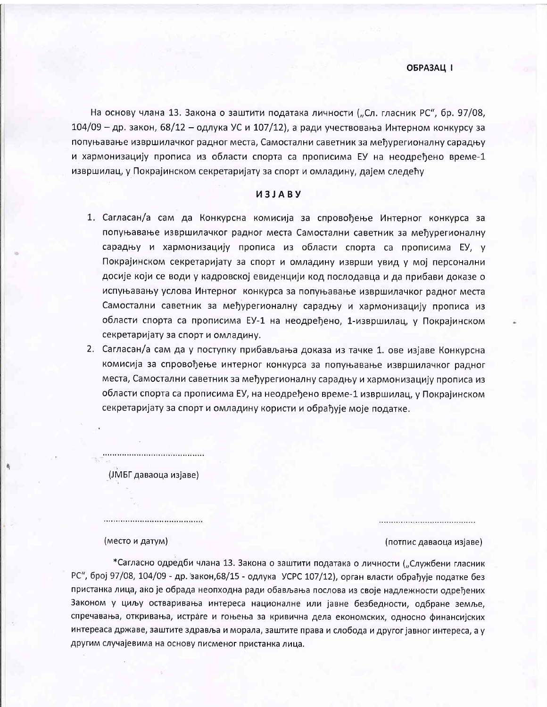На основу члана 13. Закона о заштити података личности ("Сл. гласник РС", бр. 97/08,  $104/09$  – др. закон, 68/12 – одлука УС и 107/12), а ради учествовања Интерном конкурсу за попуњавање извршилачког радног места, Самостални саветник за међурегионалну сарадњу и хармонизацију прописа из области спорта са прописима ЕУ на неодређено време-1 извршилац, у Покрајинском секретаријату за спорт и омладину, дајем следећу

## *U3JABY*

- 1. Сагласан/а сам да Конкурсна комисија за спровођење Интерног конкурса за попуњавање извршилачког радног места Самостални саветник за мећурегионалну сарадњу и хармонизацију прописа из области спорта са прописима ЕУ, у Покрајинском секретаријату за спорт и омладину изврши увид у мој персонални досије који се води у кадровској евиденцији код послодавца и да прибави доказе о испуњавању услова Интерног конкурса за попуњавање извршилачког радног места Самостални саветник за међурегионалну сарадњу и хармонизацију прописа из области спорта са прописима EУ-1 на неодређено, 1-извршилац, у Покрајинском секретаријату за спорт и омладину.
- 2. Сагласан/а сам да у поступку прибављања доказа из тачке 1. ове изјаве Конкурсна комисија за спровођење интерног конкурса за попуњавање извршилачког радног места, Самостални саветник за међурегионалну сарадњу и хармонизацију прописа из области спорта са прописима ЕУ, на неодређено време-1 извршилац, у Покрајинском секретаријату за спорт и омладину користи и обрађује моје податке.

(ЈМБГ даваоца изјаве)

,,,,,,,,,,,,,,,,,,,,,,,,,,,,,,,,,,

(место и датум)

(потпис даваоца изјаве)

\*Сагласно одредби члана 13. Закона о заштити података о личности ("Службени гласник РС", број 97/08, 104/09 - др. закон, 68/15 - одлука УСРС 107/12), орган власти обраћује податке без пристанка лица, ако је обрада неопходна ради обављања послова из своје надлежности одређених Законом у циљу остваривања интереса националне или јавне безбедности, одбране земље, спречавања, откривања, истраге и гоњења за кривична дела економских, односно финансијских интереаса државе, заштите здравља и морала, заштите права и слобода и другог јавног интереса, а у другим случајевима на основу писменог пристанка лица.